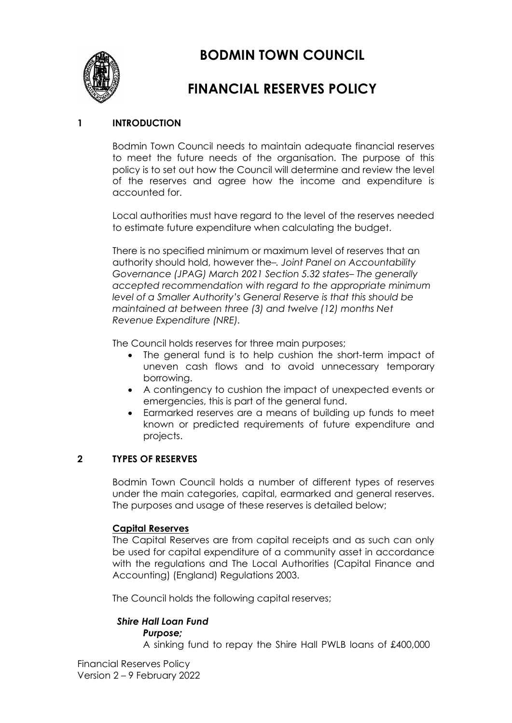**BODMIN TOWN COUNCIL**



# **FINANCIAL RESERVES POLICY**

## **1 INTRODUCTION**

Bodmin Town Council needs to maintain adequate financial reserves to meet the future needs of the organisation. The purpose of this policy is to set out how the Council will determine and review the level of the reserves and agree how the income and expenditure is accounted for.

Local authorities must have regard to the level of the reserves needed to estimate future expenditure when calculating the budget.

There is no specified minimum or maximum level of reserves that an authority should hold, however the*–. Joint Panel on Accountability Governance (JPAG) March 2021 Section 5.32 states– The generally accepted recommendation with regard to the appropriate minimum level of a Smaller Authority's General Reserve is that this should be maintained at between three (3) and twelve (12) months Net Revenue Expenditure (NRE).*

The Council holds reserves for three main purposes;

- The general fund is to help cushion the short-term impact of uneven cash flows and to avoid unnecessary temporary borrowing.
- A contingency to cushion the impact of unexpected events or emergencies, this is part of the general fund.
- Earmarked reserves are a means of building up funds to meet known or predicted requirements of future expenditure and projects.

## **2 TYPES OF RESERVES**

Bodmin Town Council holds a number of different types of reserves under the main categories, capital, earmarked and general reserves. The purposes and usage of these reserves is detailed below;

#### **Capital Reserves**

The Capital Reserves are from capital receipts and as such can only be used for capital expenditure of a community asset in accordance with the regulations and The Local Authorities (Capital Finance and Accounting) (England) Regulations 2003.

The Council holds the following capital reserves;

#### *Shire Hall Loan Fund Purpose;*

A sinking fund to repay the Shire Hall PWLB loans of £400,000

Financial Reserves Policy Version 2 – 9 February 2022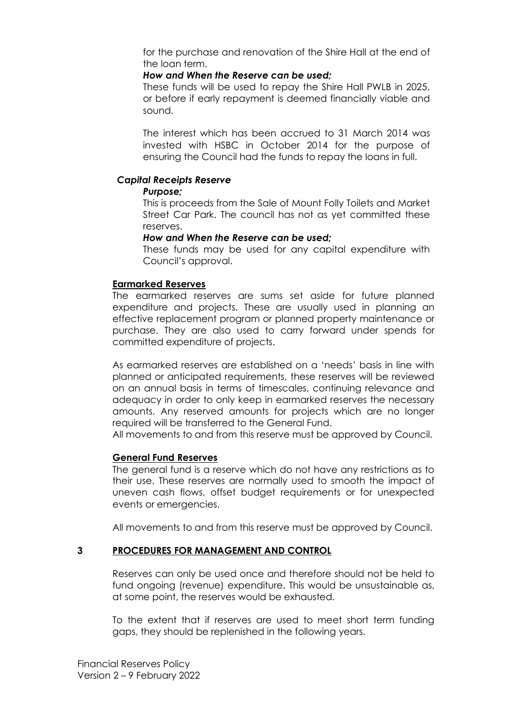for the purchase and renovation of the Shire Hall at the end of the loan term.

### *How and When the Reserve can be used;*

These funds will be used to repay the Shire Hall PWLB in 2025, or before if early repayment is deemed financially viable and sound.

The interest which has been accrued to 31 March 2014 was invested with HSBC in October 2014 for the purpose of ensuring the Council had the funds to repay the loans in full.

## *Capital Receipts Reserve*

#### *Purpose;*

This is proceeds from the Sale of Mount Folly Toilets and Market Street Car Park. The council has not as yet committed these reserves.

## *How and When the Reserve can be used;*

These funds may be used for any capital expenditure with Council's approval.

## **Earmarked Reserves**

The earmarked reserves are sums set aside for future planned expenditure and projects. These are usually used in planning an effective replacement program or planned property maintenance or purchase. They are also used to carry forward under spends for committed expenditure of projects.

As earmarked reserves are established on a 'needs' basis in line with planned or anticipated requirements, these reserves will be reviewed on an annual basis in terms of timescales, continuing relevance and adequacy in order to only keep in earmarked reserves the necessary amounts. Any reserved amounts for projects which are no longer required will be transferred to the General Fund.

All movements to and from this reserve must be approved by Council.

## **General Fund Reserves**

The general fund is a reserve which do not have any restrictions as to their use. These reserves are normally used to smooth the impact of uneven cash flows, offset budget requirements or for unexpected events or emergencies.

All movements to and from this reserve must be approved by Council.

## **3 PROCEDURES FOR MANAGEMENT AND CONTROL**

Reserves can only be used once and therefore should not be held to fund ongoing (revenue) expenditure. This would be unsustainable as, at some point, the reserves would be exhausted.

To the extent that if reserves are used to meet short term funding gaps, they should be replenished in the following years.